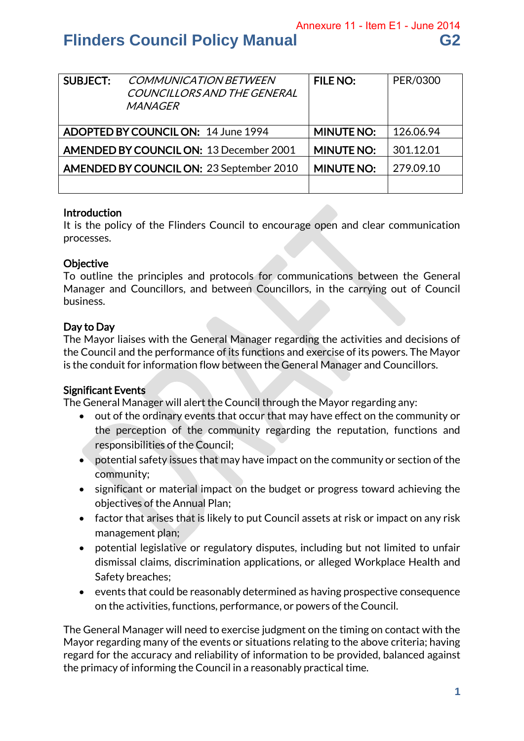Annexure 11 - Item E1 - June 2014

# **Flinders Council Policy Manual G2**

| <b>SUBJECT:</b>                     | <b>COMMUNICATION BETWEEN</b><br>COUNCILLORS AND THE GENERAL<br><i>MANAGER</i> | <b>FILE NO:</b>   | PER/0300  |
|-------------------------------------|-------------------------------------------------------------------------------|-------------------|-----------|
| ADOPTED BY COUNCIL ON: 14 June 1994 |                                                                               | <b>MINUTE NO:</b> | 126.06.94 |
|                                     | <b>AMENDED BY COUNCIL ON: 13 December 2001</b>                                | <b>MINUTE NO:</b> | 301.12.01 |
|                                     | <b>AMENDED BY COUNCIL ON: 23 September 2010</b>                               | <b>MINUTE NO:</b> | 279.09.10 |
|                                     |                                                                               |                   |           |

#### Introduction

It is the policy of the Flinders Council to encourage open and clear communication processes.

#### **Objective**

To outline the principles and protocols for communications between the General Manager and Councillors, and between Councillors, in the carrying out of Council business.

### Day to Day

The Mayor liaises with the General Manager regarding the activities and decisions of the Council and the performance of its functions and exercise of its powers. The Mayor is the conduit for information flow between the General Manager and Councillors.

#### Significant Events

The General Manager will alert the Council through the Mayor regarding any:

- out of the ordinary events that occur that may have effect on the community or the perception of the community regarding the reputation, functions and responsibilities of the Council;
- potential safety issues that may have impact on the community or section of the community;
- significant or material impact on the budget or progress toward achieving the objectives of the Annual Plan;
- factor that arises that is likely to put Council assets at risk or impact on any risk management plan;
- potential legislative or regulatory disputes, including but not limited to unfair dismissal claims, discrimination applications, or alleged Workplace Health and Safety breaches;
- events that could be reasonably determined as having prospective consequence on the activities, functions, performance, or powers of the Council.

The General Manager will need to exercise judgment on the timing on contact with the Mayor regarding many of the events or situations relating to the above criteria; having regard for the accuracy and reliability of information to be provided, balanced against the primacy of informing the Council in a reasonably practical time.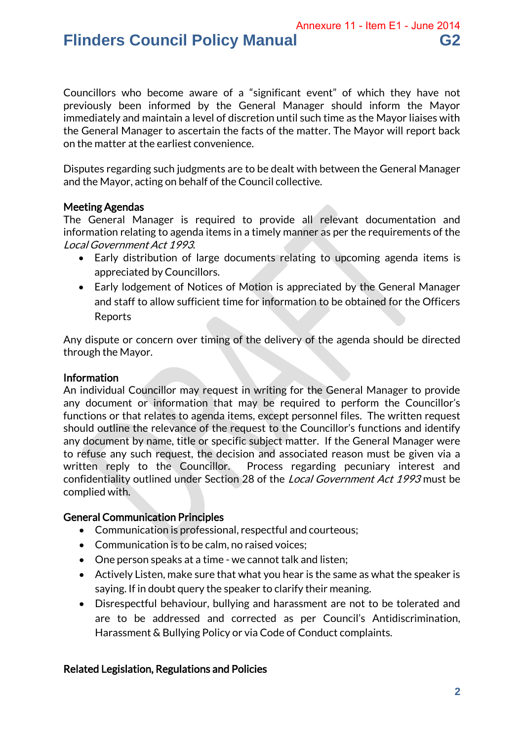Annexure 11 - Item E1 - June 2014

## **Flinders Council Policy Manual G2**

Councillors who become aware of a "significant event" of which they have not previously been informed by the General Manager should inform the Mayor immediately and maintain a level of discretion until such time as the Mayor liaises with the General Manager to ascertain the facts of the matter. The Mayor will report back on the matter at the earliest convenience.

Disputes regarding such judgments are to be dealt with between the General Manager and the Mayor, acting on behalf of the Council collective.

#### Meeting Agendas

The General Manager is required to provide all relevant documentation and information relating to agenda items in a timely manner as per the requirements of the Local Government Act 1993.

- Early distribution of large documents relating to upcoming agenda items is appreciated by Councillors.
- Early lodgement of Notices of Motion is appreciated by the General Manager and staff to allow sufficient time for information to be obtained for the Officers Reports

Any dispute or concern over timing of the delivery of the agenda should be directed through the Mayor.

#### Information

An individual Councillor may request in writing for the General Manager to provide any document or information that may be required to perform the Councillor's functions or that relates to agenda items, except personnel files. The written request should outline the relevance of the request to the Councillor's functions and identify any document by name, title or specific subject matter. If the General Manager were to refuse any such request, the decision and associated reason must be given via a written reply to the Councillor. Process regarding pecuniary interest and confidentiality outlined under Section 28 of the Local Government Act 1993 must be complied with.

#### General Communication Principles

- Communication is professional, respectful and courteous;
- Communication is to be calm, no raised voices:
- One person speaks at a time we cannot talk and listen;
- Actively Listen, make sure that what you hear is the same as what the speaker is saying. If in doubt query the speaker to clarify their meaning.
- Disrespectful behaviour, bullying and harassment are not to be tolerated and are to be addressed and corrected as per Council's Antidiscrimination, Harassment & Bullying Policy or via Code of Conduct complaints.

#### Related Legislation, Regulations and Policies